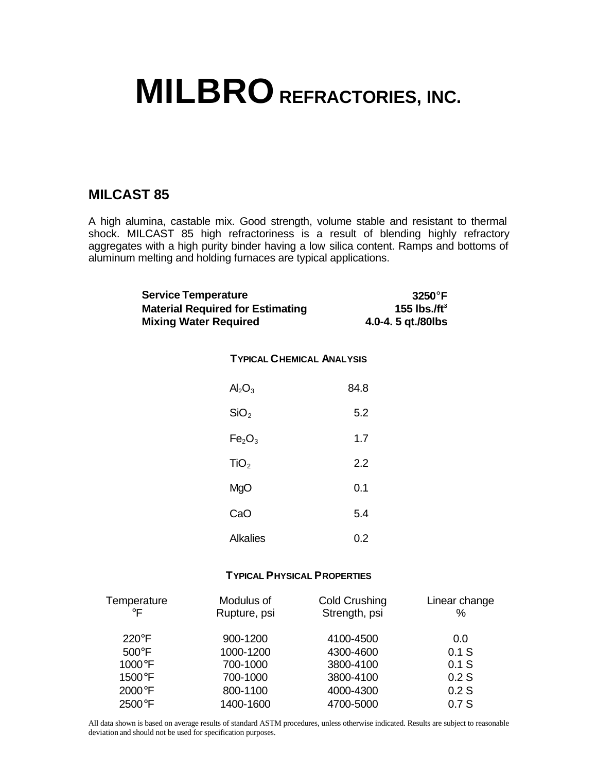## **MILBRO REFRACTORIES, INC.**

## **MILCAST 85**

A high alumina, castable mix. Good strength, volume stable and resistant to thermal shock. MILCAST 85 high refractoriness is a result of blending highly refractory aggregates with a high purity binder having a low silica content. Ramps and bottoms of aluminum melting and holding furnaces are typical applications.

| <b>Service Temperature</b> | <b>Material Required for Estimating</b><br><b>Mixing Water Required</b> | 3250°F<br>155 lbs./ft $^3$<br>4.0-4. 5 qt./80lbs |  |  |
|----------------------------|-------------------------------------------------------------------------|--------------------------------------------------|--|--|
|                            |                                                                         | <b>TYPICAL CHEMICAL ANALYSIS</b>                 |  |  |
|                            | Al <sub>2</sub> O <sub>3</sub>                                          | 84.8                                             |  |  |
|                            | SiO <sub>2</sub>                                                        | 5.2                                              |  |  |
|                            | Fe <sub>2</sub> O <sub>3</sub>                                          | 1.7                                              |  |  |
|                            | TiO <sub>2</sub>                                                        | 2.2                                              |  |  |
|                            |                                                                         |                                                  |  |  |

| MgO             | 0.1 |
|-----------------|-----|
| CaO             | 5.4 |
| <b>Alkalies</b> | 0.2 |

## **TYPICAL PHYSICAL PROPERTIES**

| Temperature<br>$\circ$ F | Modulus of<br>Rupture, psi | <b>Cold Crushing</b><br>Strength, psi | Linear change<br>% |
|--------------------------|----------------------------|---------------------------------------|--------------------|
| $220^\circ F$            | 900-1200                   | 4100-4500                             | 0.0                |
| $500^{\circ}$ F          | 1000-1200                  | 4300-4600                             | $0.1$ S            |
| 1000°F                   | 700-1000                   | 3800-4100                             | $0.1$ S            |
| 1500°F                   | 700-1000                   | 3800-4100                             | 0.2S               |
| 2000°F                   | 800-1100                   | 4000-4300                             | 0.2S               |
| 2500°F                   | 1400-1600                  | 4700-5000                             | 0.7S               |

All data shown is based on average results of standard ASTM procedures, unless otherwise indicated. Results are subject to reasonable deviation and should not be used for specification purposes.